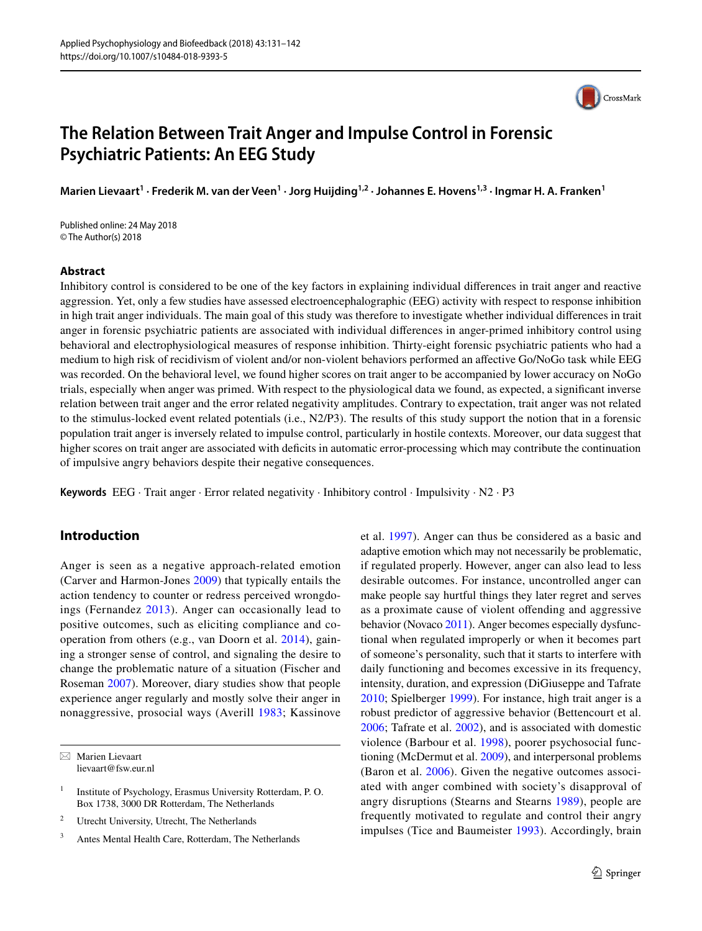

# **The Relation Between Trait Anger and Impulse Control in Forensic Psychiatric Patients: An EEG Study**

Marien Lievaart<sup>1</sup> · Frederik M. van der Veen<sup>1</sup> · Jorg Huijding<sup>1,2</sup> · Johannes E. Hovens<sup>1,3</sup> · Ingmar H. A. Franken<sup>1</sup>

Published online: 24 May 2018 © The Author(s) 2018

# **Abstract**

Inhibitory control is considered to be one of the key factors in explaining individual differences in trait anger and reactive aggression. Yet, only a few studies have assessed electroencephalographic (EEG) activity with respect to response inhibition in high trait anger individuals. The main goal of this study was therefore to investigate whether individual differences in trait anger in forensic psychiatric patients are associated with individual differences in anger-primed inhibitory control using behavioral and electrophysiological measures of response inhibition. Thirty-eight forensic psychiatric patients who had a medium to high risk of recidivism of violent and/or non-violent behaviors performed an affective Go/NoGo task while EEG was recorded. On the behavioral level, we found higher scores on trait anger to be accompanied by lower accuracy on NoGo trials, especially when anger was primed. With respect to the physiological data we found, as expected, a significant inverse relation between trait anger and the error related negativity amplitudes. Contrary to expectation, trait anger was not related to the stimulus-locked event related potentials (i.e., N2/P3). The results of this study support the notion that in a forensic population trait anger is inversely related to impulse control, particularly in hostile contexts. Moreover, our data suggest that higher scores on trait anger are associated with deficits in automatic error-processing which may contribute the continuation of impulsive angry behaviors despite their negative consequences.

**Keywords** EEG · Trait anger · Error related negativity · Inhibitory control · Impulsivity · N2 · P3

# **Introduction**

Anger is seen as a negative approach-related emotion (Carver and Harmon-Jones [2009\)](#page-9-0) that typically entails the action tendency to counter or redress perceived wrongdoings (Fernandez [2013\)](#page-9-1). Anger can occasionally lead to positive outcomes, such as eliciting compliance and cooperation from others (e.g., van Doorn et al. [2014](#page-10-0)), gaining a stronger sense of control, and signaling the desire to change the problematic nature of a situation (Fischer and Roseman [2007\)](#page-9-2). Moreover, diary studies show that people experience anger regularly and mostly solve their anger in nonaggressive, prosocial ways (Averill [1983;](#page-9-3) Kassinove

 $\boxtimes$  Marien Lievaart lievaart@fsw.eur.nl et al. [1997](#page-10-1)). Anger can thus be considered as a basic and adaptive emotion which may not necessarily be problematic, if regulated properly. However, anger can also lead to less desirable outcomes. For instance, uncontrolled anger can make people say hurtful things they later regret and serves as a proximate cause of violent offending and aggressive behavior (Novaco [2011\)](#page-10-2). Anger becomes especially dysfunctional when regulated improperly or when it becomes part of someone's personality, such that it starts to interfere with daily functioning and becomes excessive in its frequency, intensity, duration, and expression (DiGiuseppe and Tafrate [2010](#page-9-4); Spielberger [1999](#page-10-3)). For instance, high trait anger is a robust predictor of aggressive behavior (Bettencourt et al. [2006](#page-9-5); Tafrate et al. [2002\)](#page-10-4), and is associated with domestic violence (Barbour et al. [1998\)](#page-9-6), poorer psychosocial functioning (McDermut et al. [2009\)](#page-10-5), and interpersonal problems (Baron et al. [2006](#page-9-7)). Given the negative outcomes associated with anger combined with society's disapproval of angry disruptions (Stearns and Stearns [1989\)](#page-10-6), people are frequently motivated to regulate and control their angry impulses (Tice and Baumeister [1993](#page-10-7)). Accordingly, brain

<sup>&</sup>lt;sup>1</sup> Institute of Psychology, Erasmus University Rotterdam, P. O. Box 1738, 3000 DR Rotterdam, The Netherlands

<sup>2</sup> Utrecht University, Utrecht, The Netherlands

<sup>3</sup> Antes Mental Health Care, Rotterdam, The Netherlands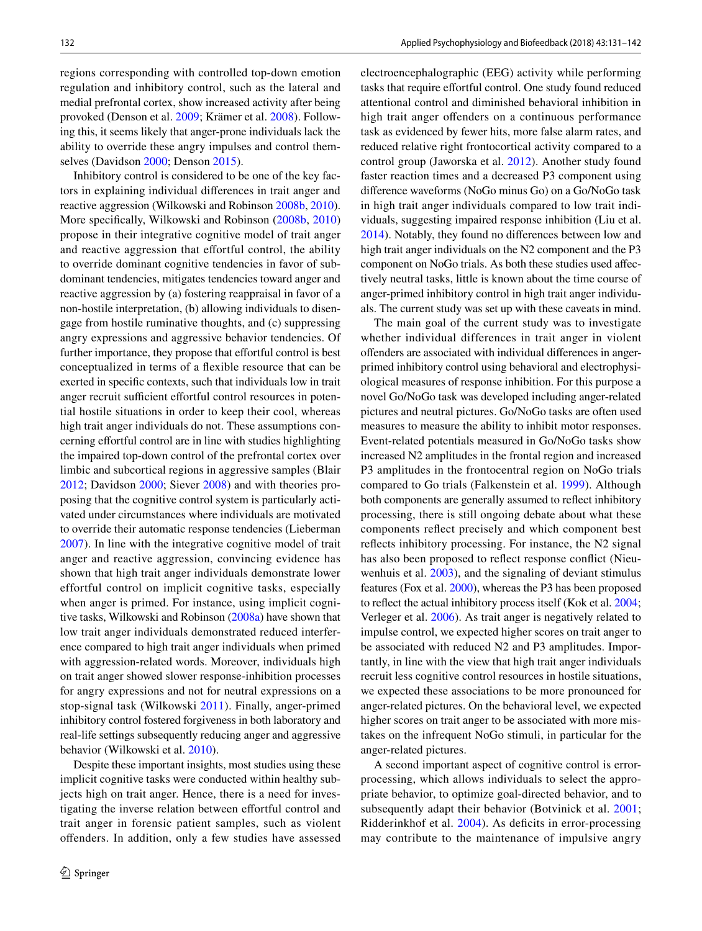regions corresponding with controlled top-down emotion regulation and inhibitory control, such as the lateral and medial prefrontal cortex, show increased activity after being provoked (Denson et al. [2009](#page-9-8); Krämer et al. [2008](#page-10-8)). Following this, it seems likely that anger-prone individuals lack the ability to override these angry impulses and control themselves (Davidson [2000](#page-9-9); Denson [2015\)](#page-9-10).

Inhibitory control is considered to be one of the key factors in explaining individual differences in trait anger and reactive aggression (Wilkowski and Robinson [2008b,](#page-11-0) [2010](#page-11-1)). More specifically, Wilkowski and Robinson ([2008b](#page-11-0), [2010\)](#page-11-1) propose in their integrative cognitive model of trait anger and reactive aggression that effortful control, the ability to override dominant cognitive tendencies in favor of subdominant tendencies, mitigates tendencies toward anger and reactive aggression by (a) fostering reappraisal in favor of a non-hostile interpretation, (b) allowing individuals to disengage from hostile ruminative thoughts, and (c) suppressing angry expressions and aggressive behavior tendencies. Of further importance, they propose that effortful control is best conceptualized in terms of a flexible resource that can be exerted in specific contexts, such that individuals low in trait anger recruit sufficient effortful control resources in potential hostile situations in order to keep their cool, whereas high trait anger individuals do not. These assumptions concerning effortful control are in line with studies highlighting the impaired top-down control of the prefrontal cortex over limbic and subcortical regions in aggressive samples (Blair [2012](#page-9-11); Davidson [2000](#page-9-9); Siever [2008\)](#page-10-9) and with theories proposing that the cognitive control system is particularly activated under circumstances where individuals are motivated to override their automatic response tendencies (Lieberman [2007](#page-10-10)). In line with the integrative cognitive model of trait anger and reactive aggression, convincing evidence has shown that high trait anger individuals demonstrate lower effortful control on implicit cognitive tasks, especially when anger is primed. For instance, using implicit cognitive tasks, Wilkowski and Robinson ([2008a\)](#page-11-2) have shown that low trait anger individuals demonstrated reduced interference compared to high trait anger individuals when primed with aggression-related words. Moreover, individuals high on trait anger showed slower response-inhibition processes for angry expressions and not for neutral expressions on a stop-signal task (Wilkowski [2011\)](#page-11-3). Finally, anger-primed inhibitory control fostered forgiveness in both laboratory and real-life settings subsequently reducing anger and aggressive behavior (Wilkowski et al. [2010](#page-11-4)).

Despite these important insights, most studies using these implicit cognitive tasks were conducted within healthy subjects high on trait anger. Hence, there is a need for investigating the inverse relation between effortful control and trait anger in forensic patient samples, such as violent offenders. In addition, only a few studies have assessed electroencephalographic (EEG) activity while performing tasks that require effortful control. One study found reduced attentional control and diminished behavioral inhibition in high trait anger offenders on a continuous performance task as evidenced by fewer hits, more false alarm rates, and reduced relative right frontocortical activity compared to a control group (Jaworska et al. [2012](#page-9-12)). Another study found faster reaction times and a decreased P3 component using difference waveforms (NoGo minus Go) on a Go/NoGo task in high trait anger individuals compared to low trait individuals, suggesting impaired response inhibition (Liu et al. [2014](#page-10-11)). Notably, they found no differences between low and high trait anger individuals on the N2 component and the P3 component on NoGo trials. As both these studies used affectively neutral tasks, little is known about the time course of anger-primed inhibitory control in high trait anger individuals. The current study was set up with these caveats in mind.

The main goal of the current study was to investigate whether individual differences in trait anger in violent offenders are associated with individual differences in angerprimed inhibitory control using behavioral and electrophysiological measures of response inhibition. For this purpose a novel Go/NoGo task was developed including anger-related pictures and neutral pictures. Go/NoGo tasks are often used measures to measure the ability to inhibit motor responses. Event-related potentials measured in Go/NoGo tasks show increased N2 amplitudes in the frontal region and increased P3 amplitudes in the frontocentral region on NoGo trials compared to Go trials (Falkenstein et al. [1999\)](#page-9-13). Although both components are generally assumed to reflect inhibitory processing, there is still ongoing debate about what these components reflect precisely and which component best reflects inhibitory processing. For instance, the N2 signal has also been proposed to reflect response conflict (Nieuwenhuis et al. [2003](#page-10-12)), and the signaling of deviant stimulus features (Fox et al. [2000](#page-9-14)), whereas the P3 has been proposed to reflect the actual inhibitory process itself (Kok et al. [2004](#page-10-13); Verleger et al. [2006\)](#page-10-14). As trait anger is negatively related to impulse control, we expected higher scores on trait anger to be associated with reduced N2 and P3 amplitudes. Importantly, in line with the view that high trait anger individuals recruit less cognitive control resources in hostile situations, we expected these associations to be more pronounced for anger-related pictures. On the behavioral level, we expected higher scores on trait anger to be associated with more mistakes on the infrequent NoGo stimuli, in particular for the anger-related pictures.

A second important aspect of cognitive control is errorprocessing, which allows individuals to select the appropriate behavior, to optimize goal-directed behavior, and to subsequently adapt their behavior (Botvinick et al. [2001](#page-9-15); Ridderinkhof et al. [2004\)](#page-10-15). As deficits in error-processing may contribute to the maintenance of impulsive angry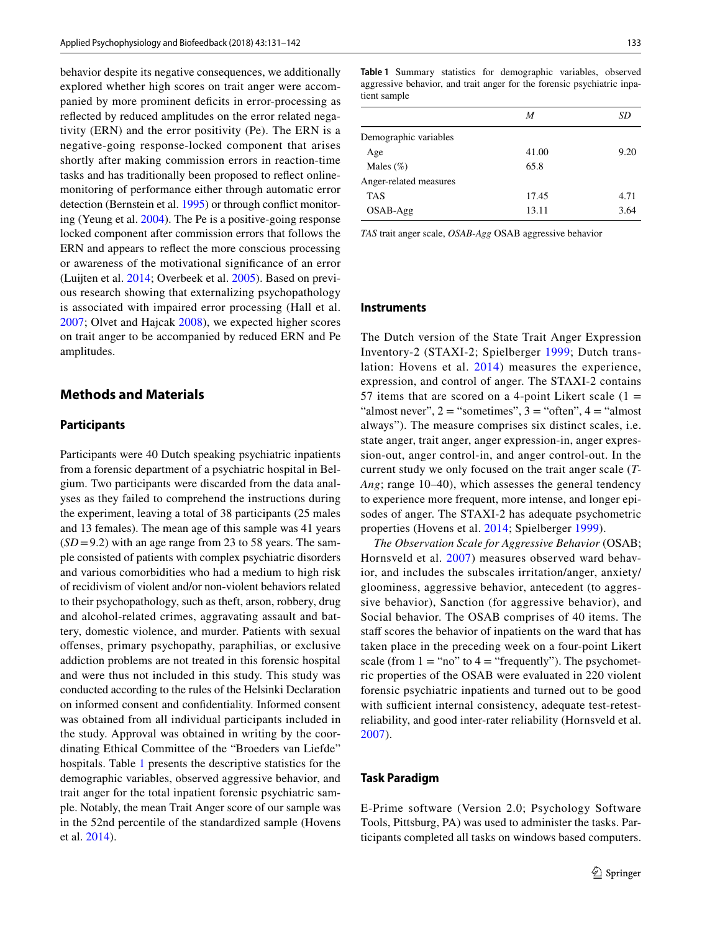behavior despite its negative consequences, we additionally explored whether high scores on trait anger were accompanied by more prominent deficits in error-processing as reflected by reduced amplitudes on the error related negativity (ERN) and the error positivity (Pe). The ERN is a negative-going response-locked component that arises shortly after making commission errors in reaction-time tasks and has traditionally been proposed to reflect onlinemonitoring of performance either through automatic error detection (Bernstein et al. [1995\)](#page-9-16) or through conflict monitoring (Yeung et al. [2004\)](#page-11-5). The Pe is a positive-going response locked component after commission errors that follows the ERN and appears to reflect the more conscious processing or awareness of the motivational significance of an error (Luijten et al. [2014;](#page-10-16) Overbeek et al. [2005](#page-10-17)). Based on previous research showing that externalizing psychopathology is associated with impaired error processing (Hall et al. [2007](#page-9-17); Olvet and Hajcak [2008](#page-10-18)), we expected higher scores on trait anger to be accompanied by reduced ERN and Pe amplitudes.

# **Methods and Materials**

#### **Participants**

Participants were 40 Dutch speaking psychiatric inpatients from a forensic department of a psychiatric hospital in Belgium. Two participants were discarded from the data analyses as they failed to comprehend the instructions during the experiment, leaving a total of 38 participants (25 males and 13 females). The mean age of this sample was 41 years  $(SD=9.2)$  with an age range from 23 to 58 years. The sample consisted of patients with complex psychiatric disorders and various comorbidities who had a medium to high risk of recidivism of violent and/or non-violent behaviors related to their psychopathology, such as theft, arson, robbery, drug and alcohol-related crimes, aggravating assault and battery, domestic violence, and murder. Patients with sexual offenses, primary psychopathy, paraphilias, or exclusive addiction problems are not treated in this forensic hospital and were thus not included in this study. This study was conducted according to the rules of the Helsinki Declaration on informed consent and confidentiality. Informed consent was obtained from all individual participants included in the study. Approval was obtained in writing by the coordinating Ethical Committee of the "Broeders van Liefde" hospitals. Table [1](#page-2-0) presents the descriptive statistics for the demographic variables, observed aggressive behavior, and trait anger for the total inpatient forensic psychiatric sample. Notably, the mean Trait Anger score of our sample was in the 52nd percentile of the standardized sample (Hovens et al. [2014](#page-9-18)).

<span id="page-2-0"></span>**Table 1** Summary statistics for demographic variables, observed aggressive behavior, and trait anger for the forensic psychiatric inpatient sample

|                        | M     | SD   |
|------------------------|-------|------|
| Demographic variables  |       |      |
| Age                    | 41.00 | 9.20 |
| Males $(\%)$           | 65.8  |      |
| Anger-related measures |       |      |
| <b>TAS</b>             | 17.45 | 4.71 |
| OSAB-Agg               | 13.11 | 3.64 |

*TAS* trait anger scale, *OSAB-Agg* OSAB aggressive behavior

#### **Instruments**

The Dutch version of the State Trait Anger Expression Inventory-2 (STAXI-2; Spielberger [1999;](#page-10-3) Dutch translation: Hovens et al. [2014](#page-9-18)) measures the experience, expression, and control of anger. The STAXI-2 contains 57 items that are scored on a 4-point Likert scale  $(1 =$ "almost never",  $2 =$  "sometimes",  $3 =$  "often",  $4 =$  "almost" always"). The measure comprises six distinct scales, i.e. state anger, trait anger, anger expression-in, anger expression-out, anger control-in, and anger control-out. In the current study we only focused on the trait anger scale (*T-Ang*; range 10–40), which assesses the general tendency to experience more frequent, more intense, and longer episodes of anger. The STAXI-2 has adequate psychometric properties (Hovens et al. [2014;](#page-9-18) Spielberger [1999\)](#page-10-3).

*The Observation Scale for Aggressive Behavior* (OSAB; Hornsveld et al. [2007](#page-9-19)) measures observed ward behavior, and includes the subscales irritation/anger, anxiety/ gloominess, aggressive behavior, antecedent (to aggressive behavior), Sanction (for aggressive behavior), and Social behavior. The OSAB comprises of 40 items. The staff scores the behavior of inpatients on the ward that has taken place in the preceding week on a four-point Likert scale (from  $1 = "no"$  to  $4 = "frequently"$ ). The psychometric properties of the OSAB were evaluated in 220 violent forensic psychiatric inpatients and turned out to be good with sufficient internal consistency, adequate test-retestreliability, and good inter-rater reliability (Hornsveld et al. [2007\)](#page-9-19).

#### **Task Paradigm**

E-Prime software (Version 2.0; Psychology Software Tools, Pittsburg, PA) was used to administer the tasks. Participants completed all tasks on windows based computers.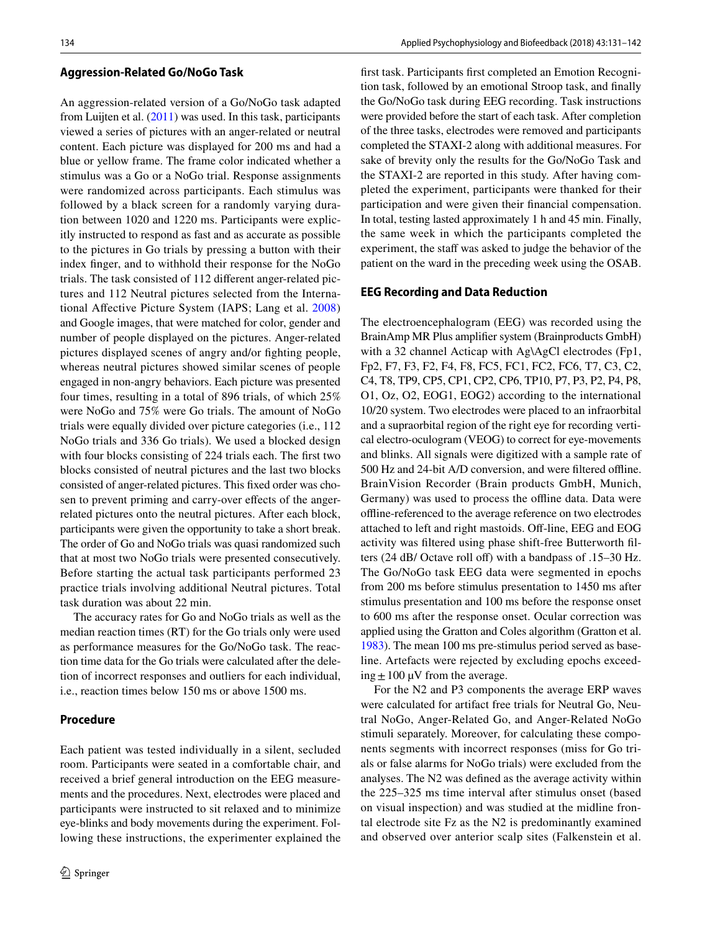#### **Aggression‑Related Go/NoGo Task**

An aggression-related version of a Go/NoGo task adapted from Luijten et al.  $(2011)$  $(2011)$  was used. In this task, participants viewed a series of pictures with an anger-related or neutral content. Each picture was displayed for 200 ms and had a blue or yellow frame. The frame color indicated whether a stimulus was a Go or a NoGo trial. Response assignments were randomized across participants. Each stimulus was followed by a black screen for a randomly varying duration between 1020 and 1220 ms. Participants were explicitly instructed to respond as fast and as accurate as possible to the pictures in Go trials by pressing a button with their index finger, and to withhold their response for the NoGo trials. The task consisted of 112 different anger-related pictures and 112 Neutral pictures selected from the International Affective Picture System (IAPS; Lang et al. [2008\)](#page-10-20) and Google images, that were matched for color, gender and number of people displayed on the pictures. Anger-related pictures displayed scenes of angry and/or fighting people, whereas neutral pictures showed similar scenes of people engaged in non-angry behaviors. Each picture was presented four times, resulting in a total of 896 trials, of which 25% were NoGo and 75% were Go trials. The amount of NoGo trials were equally divided over picture categories (i.e., 112 NoGo trials and 336 Go trials). We used a blocked design with four blocks consisting of 224 trials each. The first two blocks consisted of neutral pictures and the last two blocks consisted of anger-related pictures. This fixed order was chosen to prevent priming and carry-over effects of the angerrelated pictures onto the neutral pictures. After each block, participants were given the opportunity to take a short break. The order of Go and NoGo trials was quasi randomized such that at most two NoGo trials were presented consecutively. Before starting the actual task participants performed 23 practice trials involving additional Neutral pictures. Total task duration was about 22 min.

The accuracy rates for Go and NoGo trials as well as the median reaction times (RT) for the Go trials only were used as performance measures for the Go/NoGo task. The reaction time data for the Go trials were calculated after the deletion of incorrect responses and outliers for each individual, i.e., reaction times below 150 ms or above 1500 ms.

# **Procedure**

Each patient was tested individually in a silent, secluded room. Participants were seated in a comfortable chair, and received a brief general introduction on the EEG measurements and the procedures. Next, electrodes were placed and participants were instructed to sit relaxed and to minimize eye-blinks and body movements during the experiment. Following these instructions, the experimenter explained the first task. Participants first completed an Emotion Recognition task, followed by an emotional Stroop task, and finally the Go/NoGo task during EEG recording. Task instructions were provided before the start of each task. After completion of the three tasks, electrodes were removed and participants completed the STAXI-2 along with additional measures. For sake of brevity only the results for the Go/NoGo Task and the STAXI-2 are reported in this study. After having completed the experiment, participants were thanked for their participation and were given their financial compensation. In total, testing lasted approximately 1 h and 45 min. Finally, the same week in which the participants completed the experiment, the staff was asked to judge the behavior of the patient on the ward in the preceding week using the OSAB.

#### **EEG Recording and Data Reduction**

The electroencephalogram (EEG) was recorded using the BrainAmp MR Plus amplifier system (Brainproducts GmbH) with a 32 channel Acticap with Ag\AgCl electrodes (Fp1, Fp2, F7, F3, F2, F4, F8, FC5, FC1, FC2, FC6, T7, C3, C2, C4, T8, TP9, CP5, CP1, CP2, CP6, TP10, P7, P3, P2, P4, P8, O1, Oz, O2, EOG1, EOG2) according to the international 10/20 system. Two electrodes were placed to an infraorbital and a supraorbital region of the right eye for recording vertical electro-oculogram (VEOG) to correct for eye-movements and blinks. All signals were digitized with a sample rate of 500 Hz and 24-bit A/D conversion, and were filtered offline. BrainVision Recorder (Brain products GmbH, Munich, Germany) was used to process the offline data. Data were offline-referenced to the average reference on two electrodes attached to left and right mastoids. Off-line, EEG and EOG activity was filtered using phase shift-free Butterworth filters (24 dB/ Octave roll off) with a bandpass of .15–30 Hz. The Go/NoGo task EEG data were segmented in epochs from 200 ms before stimulus presentation to 1450 ms after stimulus presentation and 100 ms before the response onset to 600 ms after the response onset. Ocular correction was applied using the Gratton and Coles algorithm (Gratton et al. [1983\)](#page-9-20). The mean 100 ms pre-stimulus period served as baseline. Artefacts were rejected by excluding epochs exceeding  $\pm 100 \mu V$  from the average.

For the N2 and P3 components the average ERP waves were calculated for artifact free trials for Neutral Go, Neutral NoGo, Anger-Related Go, and Anger-Related NoGo stimuli separately. Moreover, for calculating these components segments with incorrect responses (miss for Go trials or false alarms for NoGo trials) were excluded from the analyses. The N2 was defined as the average activity within the 225–325 ms time interval after stimulus onset (based on visual inspection) and was studied at the midline frontal electrode site Fz as the N2 is predominantly examined and observed over anterior scalp sites (Falkenstein et al.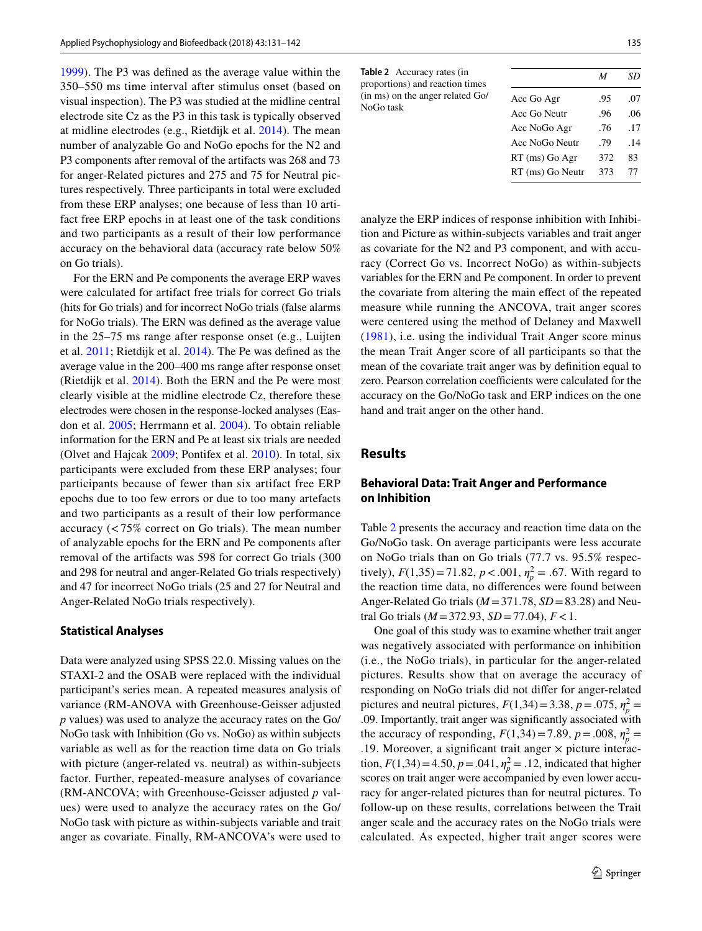[1999](#page-9-13)). The P3 was defined as the average value within the 350–550 ms time interval after stimulus onset (based on visual inspection). The P3 was studied at the midline central electrode site Cz as the P3 in this task is typically observed at midline electrodes (e.g., Rietdijk et al. [2014\)](#page-10-21). The mean number of analyzable Go and NoGo epochs for the N2 and P3 components after removal of the artifacts was 268 and 73 for anger-Related pictures and 275 and 75 for Neutral pictures respectively. Three participants in total were excluded from these ERP analyses; one because of less than 10 artifact free ERP epochs in at least one of the task conditions and two participants as a result of their low performance accuracy on the behavioral data (accuracy rate below 50% on Go trials).

For the ERN and Pe components the average ERP waves were calculated for artifact free trials for correct Go trials (hits for Go trials) and for incorrect NoGo trials (false alarms for NoGo trials). The ERN was defined as the average value in the 25–75 ms range after response onset (e.g., Luijten et al. [2011](#page-10-22); Rietdijk et al. [2014](#page-10-21)). The Pe was defined as the average value in the 200–400 ms range after response onset (Rietdijk et al. [2014](#page-10-21)). Both the ERN and the Pe were most clearly visible at the midline electrode Cz, therefore these electrodes were chosen in the response-locked analyses (Easdon et al. [2005;](#page-9-21) Herrmann et al. [2004\)](#page-9-22). To obtain reliable information for the ERN and Pe at least six trials are needed (Olvet and Hajcak [2009](#page-10-23); Pontifex et al. [2010\)](#page-10-24). In total, six participants were excluded from these ERP analyses; four participants because of fewer than six artifact free ERP epochs due to too few errors or due to too many artefacts and two participants as a result of their low performance accuracy (<75% correct on Go trials). The mean number of analyzable epochs for the ERN and Pe components after removal of the artifacts was 598 for correct Go trials (300 and 298 for neutral and anger-Related Go trials respectively) and 47 for incorrect NoGo trials (25 and 27 for Neutral and Anger-Related NoGo trials respectively).

#### **Statistical Analyses**

Data were analyzed using SPSS 22.0. Missing values on the STAXI-2 and the OSAB were replaced with the individual participant's series mean. A repeated measures analysis of variance (RM-ANOVA with Greenhouse-Geisser adjusted *p* values) was used to analyze the accuracy rates on the Go/ NoGo task with Inhibition (Go vs. NoGo) as within subjects variable as well as for the reaction time data on Go trials with picture (anger-related vs. neutral) as within-subjects factor. Further, repeated-measure analyses of covariance (RM-ANCOVA; with Greenhouse-Geisser adjusted *p* values) were used to analyze the accuracy rates on the Go/ NoGo task with picture as within-subjects variable and trait anger as covariate. Finally, RM-ANCOVA's were used to

<span id="page-4-0"></span>

| <b>Table 2</b> Accuracy rates (in<br>proportions) and reaction times<br>(in ms) on the anger related Go/<br>NoGo task |                | M   | SD  |
|-----------------------------------------------------------------------------------------------------------------------|----------------|-----|-----|
|                                                                                                                       | Acc Go Agr     | .95 | .07 |
|                                                                                                                       | Acc Go Neutr   | .96 | .06 |
|                                                                                                                       | Acc NoGo Agr   | .76 | .17 |
|                                                                                                                       | Acc NoGo Neutr | .79 | 14  |

RT (ms) Go Agr 372 83 RT (ms) Go Neutr 373 77

analyze the ERP indices of response inhibition with Inhibition and Picture as within-subjects variables and trait anger as covariate for the N2 and P3 component, and with accuracy (Correct Go vs. Incorrect NoGo) as within-subjects variables for the ERN and Pe component. In order to prevent the covariate from altering the main effect of the repeated measure while running the ANCOVA, trait anger scores were centered using the method of Delaney and Maxwell ([1981](#page-9-23)), i.e. using the individual Trait Anger score minus the mean Trait Anger score of all participants so that the mean of the covariate trait anger was by definition equal to zero. Pearson correlation coefficients were calculated for the accuracy on the Go/NoGo task and ERP indices on the one hand and trait anger on the other hand.

# **Results**

## **Behavioral Data: Trait Anger and Performance on Inhibition**

Table [2](#page-4-0) presents the accuracy and reaction time data on the Go/NoGo task. On average participants were less accurate on NoGo trials than on Go trials (77.7 vs. 95.5% respectively),  $F(1,35) = 71.82$ ,  $p < .001$ ,  $\eta_p^2 = .67$ . With regard to the reaction time data, no differences were found between Anger-Related Go trials (*M*=371.78, *SD*=83.28) and Neutral Go trials (*M*=372.93, *SD*=77.04), *F*<1.

One goal of this study was to examine whether trait anger was negatively associated with performance on inhibition (i.e., the NoGo trials), in particular for the anger-related pictures. Results show that on average the accuracy of responding on NoGo trials did not differ for anger-related pictures and neutral pictures,  $F(1,34) = 3.38$ ,  $p = .075$ ,  $\eta_p^2 =$ .09. Importantly, trait anger was significantly associated with the accuracy of responding,  $F(1,34) = 7.89$ ,  $p = .008$ ,  $\eta_p^2 =$ .19. Moreover, a significant trait anger  $\times$  picture interaction,  $F(1,34) = 4.50$ ,  $p = .041$ ,  $\eta_p^2 = .12$ , indicated that higher scores on trait anger were accompanied by even lower accuracy for anger-related pictures than for neutral pictures. To follow-up on these results, correlations between the Trait anger scale and the accuracy rates on the NoGo trials were calculated. As expected, higher trait anger scores were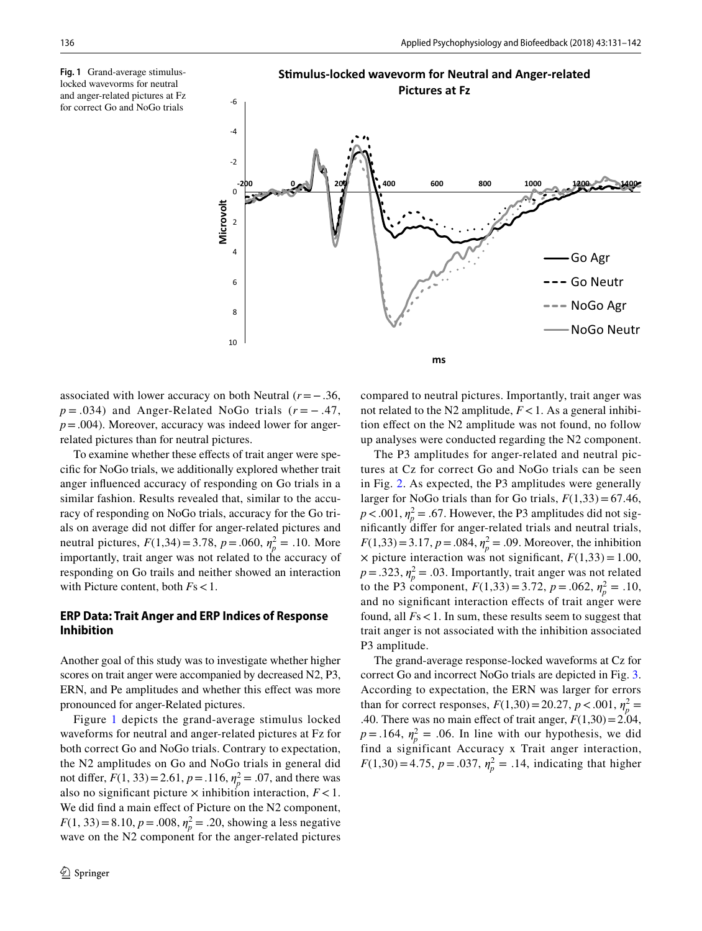<span id="page-5-0"></span>**Fig. 1** Grand-average stimuluslocked wavevorms for neutral and anger-related pictures at Fz and anger-related pictures at Fz<br>for correct Go and NoGo trials  $-6$ 



associated with lower accuracy on both Neutral (*r*=−.36, *p* = .034) and Anger-Related NoGo trials ( $r$  = − .47,  $p = .004$ ). Moreover, accuracy was indeed lower for angerrelated pictures than for neutral pictures.

To examine whether these effects of trait anger were specific for NoGo trials, we additionally explored whether trait anger influenced accuracy of responding on Go trials in a similar fashion. Results revealed that, similar to the accuracy of responding on NoGo trials, accuracy for the Go trials on average did not differ for anger-related pictures and neutral pictures,  $F(1,34) = 3.78$ ,  $p = .060$ ,  $\eta_p^2 = .10$ . More importantly, trait anger was not related to the accuracy of responding on Go trails and neither showed an interaction with Picture content, both *F*s<1.

# **ERP Data: Trait Anger and ERP Indices of Response Inhibition**

Another goal of this study was to investigate whether higher scores on trait anger were accompanied by decreased N2, P3, ERN, and Pe amplitudes and whether this effect was more pronounced for anger-Related pictures.

Figure [1](#page-5-0) depicts the grand-average stimulus locked waveforms for neutral and anger-related pictures at Fz for both correct Go and NoGo trials. Contrary to expectation, the N2 amplitudes on Go and NoGo trials in general did not differ,  $F(1, 33) = 2.61$ ,  $p = .116$ ,  $\eta_p^2 = .07$ , and there was also no significant picture  $\times$  inhibition interaction,  $F < 1$ . We did find a main effect of Picture on the N2 component,  $F(1, 33) = 8.10, p = .008, \eta_p^2 = .20$ , showing a less negative wave on the N2 component for the anger-related pictures

compared to neutral pictures. Importantly, trait anger was not related to the N2 amplitude,  $F < 1$ . As a general inhibition effect on the N2 amplitude was not found, no follow up analyses were conducted regarding the N2 component.

The P3 amplitudes for anger-related and neutral pictures at Cz for correct Go and NoGo trials can be seen in Fig. [2.](#page-6-0) As expected, the P3 amplitudes were generally larger for NoGo trials than for Go trials,  $F(1,33) = 67.46$ ,  $p < .001$ ,  $\eta_p^2 = .67$ . However, the P3 amplitudes did not significantly differ for anger-related trials and neutral trials,  $F(1,33) = 3.17$ ,  $p = .084$ ,  $\eta_p^2 = .09$ . Moreover, the inhibition  $\times$  picture interaction was not significant,  $F(1,33) = 1.00$ ,  $p = .323$ ,  $\eta_p^2 = .03$ . Importantly, trait anger was not related to the P3 component,  $F(1,33) = 3.72$ ,  $p = .062$ ,  $\eta_p^2 = .10$ , and no significant interaction effects of trait anger were found, all *F*s<1. In sum, these results seem to suggest that trait anger is not associated with the inhibition associated P3 amplitude.

The grand-average response-locked waveforms at Cz for correct Go and incorrect NoGo trials are depicted in Fig. [3.](#page-6-1) According to expectation, the ERN was larger for errors than for correct responses,  $F(1,30) = 20.27$ ,  $p < .001$ ,  $\eta_p^2 =$ .40. There was no main effect of trait anger,  $F(1,30) = 2.04$ ,  $p = .164$ ,  $\eta_p^2 = .06$ . In line with our hypothesis, we did find a significant Accuracy x Trait anger interaction,  $F(1,30) = 4.75$ ,  $p = .037$ ,  $\eta_p^2 = .14$ , indicating that higher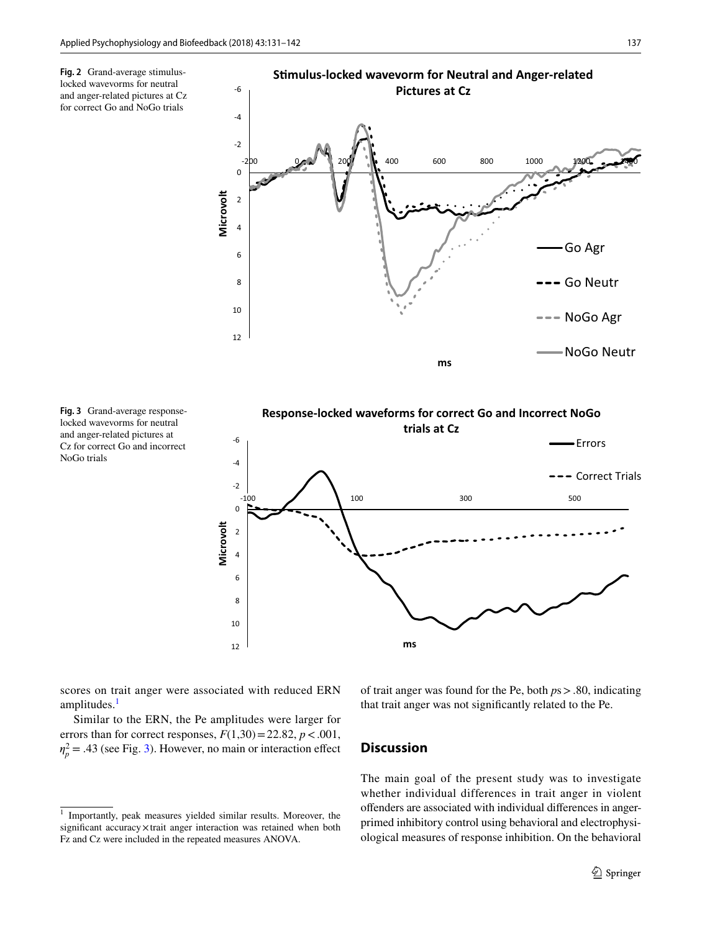<span id="page-6-0"></span>



<span id="page-6-1"></span>**Fig. 3** Grand-average responselocked wavevorms for neutral and anger-related pictures at Cz for correct Go and incorrect NoGo trials



scores on trait anger were associated with reduced ERN amplitudes.<sup>[1](#page-6-2)</sup>

Similar to the ERN, the Pe amplitudes were larger for errors than for correct responses,  $F(1,30) = 22.82$ ,  $p < .001$ ,  $\eta_p^2$  = .43 (see Fig. [3](#page-6-1)). However, no main or interaction effect of trait anger was found for the Pe, both *p*s>.80, indicating that trait anger was not significantly related to the Pe.

### **Discussion**

The main goal of the present study was to investigate whether individual differences in trait anger in violent offenders are associated with individual differences in angerprimed inhibitory control using behavioral and electrophysiological measures of response inhibition. On the behavioral

<span id="page-6-2"></span><sup>&</sup>lt;sup>1</sup> Importantly, peak measures yielded similar results. Moreover, the significant accuracy×trait anger interaction was retained when both Fz and Cz were included in the repeated measures ANOVA.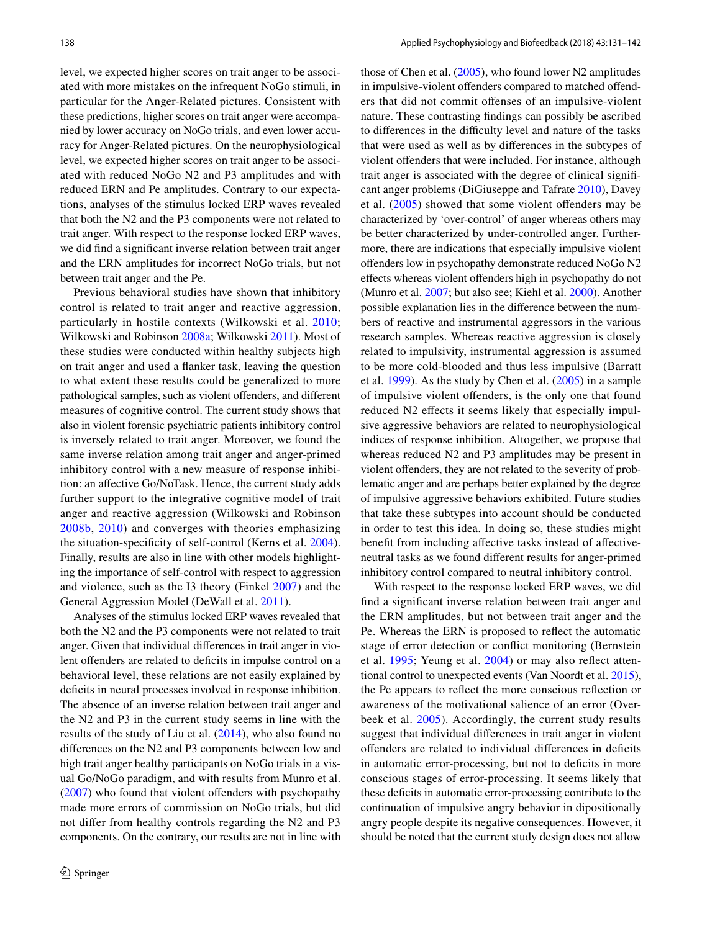level, we expected higher scores on trait anger to be associated with more mistakes on the infrequent NoGo stimuli, in particular for the Anger-Related pictures. Consistent with these predictions, higher scores on trait anger were accompanied by lower accuracy on NoGo trials, and even lower accuracy for Anger-Related pictures. On the neurophysiological level, we expected higher scores on trait anger to be associated with reduced NoGo N2 and P3 amplitudes and with reduced ERN and Pe amplitudes. Contrary to our expectations, analyses of the stimulus locked ERP waves revealed that both the N2 and the P3 components were not related to trait anger. With respect to the response locked ERP waves, we did find a significant inverse relation between trait anger and the ERN amplitudes for incorrect NoGo trials, but not between trait anger and the Pe.

Previous behavioral studies have shown that inhibitory control is related to trait anger and reactive aggression, particularly in hostile contexts (Wilkowski et al. [2010](#page-11-4); Wilkowski and Robinson [2008a;](#page-11-2) Wilkowski [2011\)](#page-11-3). Most of these studies were conducted within healthy subjects high on trait anger and used a flanker task, leaving the question to what extent these results could be generalized to more pathological samples, such as violent offenders, and different measures of cognitive control. The current study shows that also in violent forensic psychiatric patients inhibitory control is inversely related to trait anger. Moreover, we found the same inverse relation among trait anger and anger-primed inhibitory control with a new measure of response inhibition: an affective Go/NoTask. Hence, the current study adds further support to the integrative cognitive model of trait anger and reactive aggression (Wilkowski and Robinson [2008b](#page-11-0), [2010\)](#page-11-1) and converges with theories emphasizing the situation-specificity of self-control (Kerns et al. [2004](#page-10-25)). Finally, results are also in line with other models highlighting the importance of self-control with respect to aggression and violence, such as the I3 theory (Finkel [2007](#page-9-24)) and the General Aggression Model (DeWall et al. [2011](#page-9-25)).

Analyses of the stimulus locked ERP waves revealed that both the N2 and the P3 components were not related to trait anger. Given that individual differences in trait anger in violent offenders are related to deficits in impulse control on a behavioral level, these relations are not easily explained by deficits in neural processes involved in response inhibition. The absence of an inverse relation between trait anger and the N2 and P3 in the current study seems in line with the results of the study of Liu et al. [\(2014](#page-10-11)), who also found no differences on the N2 and P3 components between low and high trait anger healthy participants on NoGo trials in a visual Go/NoGo paradigm, and with results from Munro et al. [\(2007\)](#page-10-26) who found that violent offenders with psychopathy made more errors of commission on NoGo trials, but did not differ from healthy controls regarding the N2 and P3 components. On the contrary, our results are not in line with those of Chen et al. [\(2005](#page-9-26)), who found lower N2 amplitudes in impulsive-violent offenders compared to matched offenders that did not commit offenses of an impulsive-violent nature. These contrasting findings can possibly be ascribed to differences in the difficulty level and nature of the tasks that were used as well as by differences in the subtypes of violent offenders that were included. For instance, although trait anger is associated with the degree of clinical significant anger problems (DiGiuseppe and Tafrate [2010\)](#page-9-4), Davey et al. ([2005\)](#page-9-27) showed that some violent offenders may be characterized by 'over-control' of anger whereas others may be better characterized by under-controlled anger. Furthermore, there are indications that especially impulsive violent offenders low in psychopathy demonstrate reduced NoGo N2 effects whereas violent offenders high in psychopathy do not (Munro et al. [2007;](#page-10-26) but also see; Kiehl et al. [2000](#page-10-27)). Another possible explanation lies in the difference between the numbers of reactive and instrumental aggressors in the various research samples. Whereas reactive aggression is closely related to impulsivity, instrumental aggression is assumed to be more cold-blooded and thus less impulsive (Barratt et al. [1999\)](#page-9-28). As the study by Chen et al. [\(2005](#page-9-26)) in a sample of impulsive violent offenders, is the only one that found reduced N2 effects it seems likely that especially impulsive aggressive behaviors are related to neurophysiological indices of response inhibition. Altogether, we propose that whereas reduced N2 and P3 amplitudes may be present in violent offenders, they are not related to the severity of problematic anger and are perhaps better explained by the degree of impulsive aggressive behaviors exhibited. Future studies that take these subtypes into account should be conducted in order to test this idea. In doing so, these studies might benefit from including affective tasks instead of affectiveneutral tasks as we found different results for anger-primed inhibitory control compared to neutral inhibitory control.

With respect to the response locked ERP waves, we did find a significant inverse relation between trait anger and the ERN amplitudes, but not between trait anger and the Pe. Whereas the ERN is proposed to reflect the automatic stage of error detection or conflict monitoring (Bernstein et al. [1995;](#page-9-16) Yeung et al. [2004](#page-11-5)) or may also reflect attentional control to unexpected events (Van Noordt et al. [2015](#page-10-28)), the Pe appears to reflect the more conscious reflection or awareness of the motivational salience of an error (Overbeek et al. [2005\)](#page-10-17). Accordingly, the current study results suggest that individual differences in trait anger in violent offenders are related to individual differences in deficits in automatic error-processing, but not to deficits in more conscious stages of error-processing. It seems likely that these deficits in automatic error-processing contribute to the continuation of impulsive angry behavior in dipositionally angry people despite its negative consequences. However, it should be noted that the current study design does not allow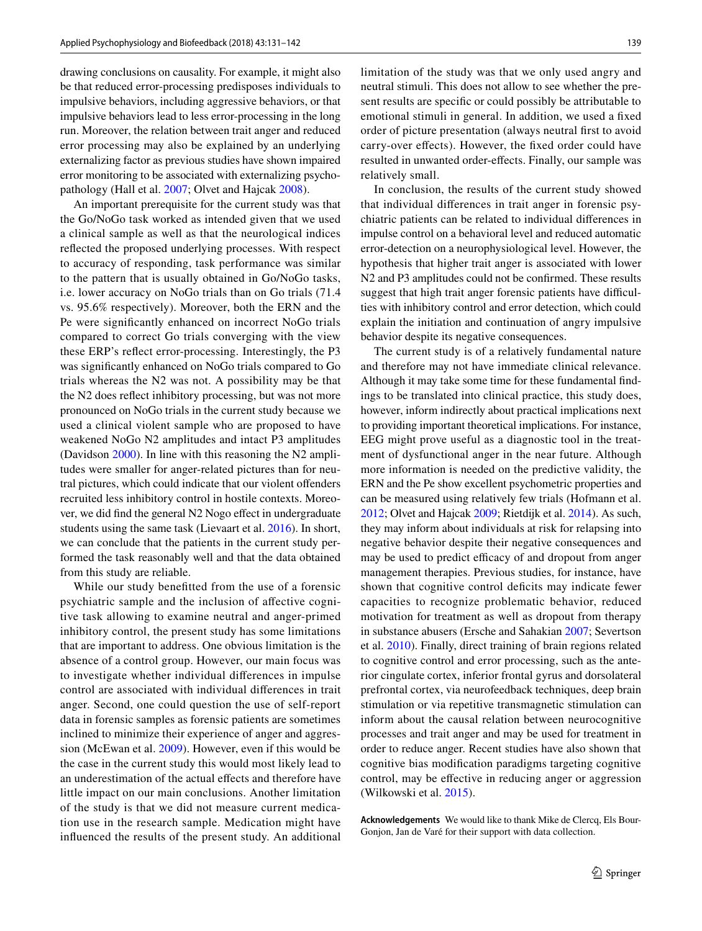drawing conclusions on causality. For example, it might also be that reduced error-processing predisposes individuals to impulsive behaviors, including aggressive behaviors, or that impulsive behaviors lead to less error-processing in the long run. Moreover, the relation between trait anger and reduced error processing may also be explained by an underlying externalizing factor as previous studies have shown impaired error monitoring to be associated with externalizing psychopathology (Hall et al. [2007](#page-9-17); Olvet and Hajcak [2008](#page-10-18)).

An important prerequisite for the current study was that the Go/NoGo task worked as intended given that we used a clinical sample as well as that the neurological indices reflected the proposed underlying processes. With respect to accuracy of responding, task performance was similar to the pattern that is usually obtained in Go/NoGo tasks, i.e. lower accuracy on NoGo trials than on Go trials (71.4 vs. 95.6% respectively). Moreover, both the ERN and the Pe were significantly enhanced on incorrect NoGo trials compared to correct Go trials converging with the view these ERP's reflect error-processing. Interestingly, the P3 was significantly enhanced on NoGo trials compared to Go trials whereas the N2 was not. A possibility may be that the N2 does reflect inhibitory processing, but was not more pronounced on NoGo trials in the current study because we used a clinical violent sample who are proposed to have weakened NoGo N2 amplitudes and intact P3 amplitudes (Davidson [2000\)](#page-9-9). In line with this reasoning the N2 amplitudes were smaller for anger-related pictures than for neutral pictures, which could indicate that our violent offenders recruited less inhibitory control in hostile contexts. Moreover, we did find the general N2 Nogo effect in undergraduate students using the same task (Lievaart et al. [2016](#page-10-10)). In short, we can conclude that the patients in the current study performed the task reasonably well and that the data obtained from this study are reliable.

While our study benefitted from the use of a forensic psychiatric sample and the inclusion of affective cognitive task allowing to examine neutral and anger-primed inhibitory control, the present study has some limitations that are important to address. One obvious limitation is the absence of a control group. However, our main focus was to investigate whether individual differences in impulse control are associated with individual differences in trait anger. Second, one could question the use of self-report data in forensic samples as forensic patients are sometimes inclined to minimize their experience of anger and aggression (McEwan et al. [2009](#page-10-29)). However, even if this would be the case in the current study this would most likely lead to an underestimation of the actual effects and therefore have little impact on our main conclusions. Another limitation of the study is that we did not measure current medication use in the research sample. Medication might have influenced the results of the present study. An additional limitation of the study was that we only used angry and neutral stimuli. This does not allow to see whether the present results are specific or could possibly be attributable to emotional stimuli in general. In addition, we used a fixed order of picture presentation (always neutral first to avoid carry-over effects). However, the fixed order could have resulted in unwanted order-effects. Finally, our sample was relatively small.

In conclusion, the results of the current study showed that individual differences in trait anger in forensic psychiatric patients can be related to individual differences in impulse control on a behavioral level and reduced automatic error-detection on a neurophysiological level. However, the hypothesis that higher trait anger is associated with lower N2 and P3 amplitudes could not be confirmed. These results suggest that high trait anger forensic patients have difficulties with inhibitory control and error detection, which could explain the initiation and continuation of angry impulsive behavior despite its negative consequences.

The current study is of a relatively fundamental nature and therefore may not have immediate clinical relevance. Although it may take some time for these fundamental findings to be translated into clinical practice, this study does, however, inform indirectly about practical implications next to providing important theoretical implications. For instance, EEG might prove useful as a diagnostic tool in the treatment of dysfunctional anger in the near future. Although more information is needed on the predictive validity, the ERN and the Pe show excellent psychometric properties and can be measured using relatively few trials (Hofmann et al. [2012](#page-9-29); Olvet and Hajcak [2009](#page-10-23); Rietdijk et al. [2014](#page-10-21)). As such, they may inform about individuals at risk for relapsing into negative behavior despite their negative consequences and may be used to predict efficacy of and dropout from anger management therapies. Previous studies, for instance, have shown that cognitive control deficits may indicate fewer capacities to recognize problematic behavior, reduced motivation for treatment as well as dropout from therapy in substance abusers (Ersche and Sahakian [2007;](#page-9-30) Severtson et al. [2010\)](#page-10-30). Finally, direct training of brain regions related to cognitive control and error processing, such as the anterior cingulate cortex, inferior frontal gyrus and dorsolateral prefrontal cortex, via neurofeedback techniques, deep brain stimulation or via repetitive transmagnetic stimulation can inform about the causal relation between neurocognitive processes and trait anger and may be used for treatment in order to reduce anger. Recent studies have also shown that cognitive bias modification paradigms targeting cognitive control, may be effective in reducing anger or aggression (Wilkowski et al. [2015\)](#page-11-6).

**Acknowledgements** We would like to thank Mike de Clercq, Els Bour-Gonjon, Jan de Varé for their support with data collection.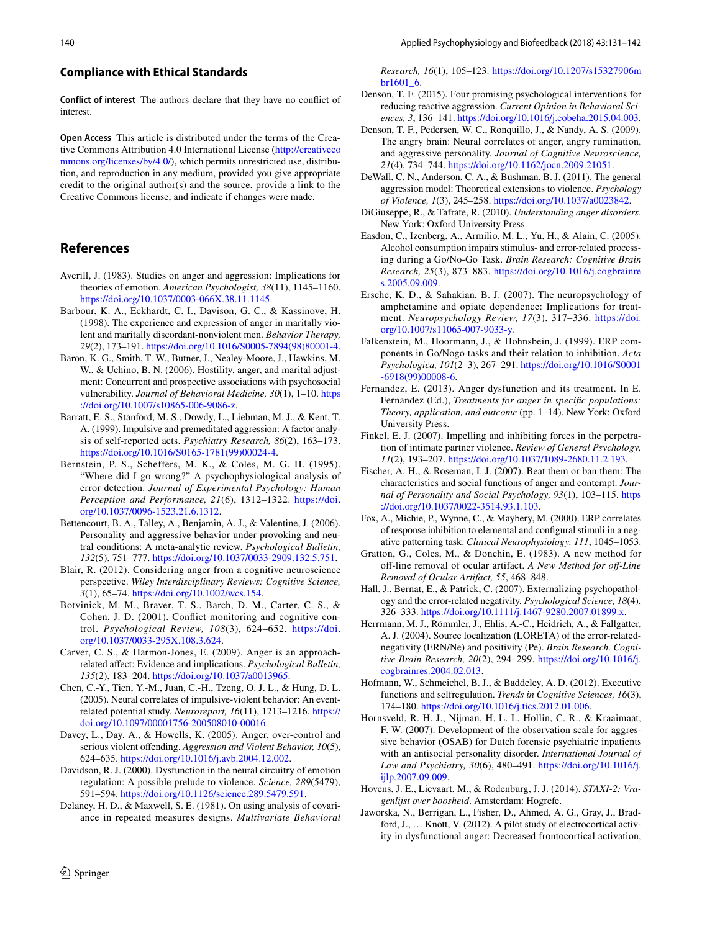#### **Compliance with Ethical Standards**

**Conflict of interest** The authors declare that they have no conflict of interest.

**Open Access** This article is distributed under the terms of the Creative Commons Attribution 4.0 International License [\(http://creativeco](http://creativecommons.org/licenses/by/4.0/) [mmons.org/licenses/by/4.0/](http://creativecommons.org/licenses/by/4.0/)), which permits unrestricted use, distribution, and reproduction in any medium, provided you give appropriate credit to the original author(s) and the source, provide a link to the Creative Commons license, and indicate if changes were made.

# **References**

- <span id="page-9-3"></span>Averill, J. (1983). Studies on anger and aggression: Implications for theories of emotion. *American Psychologist, 38*(11), 1145–1160. <https://doi.org/10.1037/0003-066X.38.11.1145>.
- <span id="page-9-6"></span>Barbour, K. A., Eckhardt, C. I., Davison, G. C., & Kassinove, H. (1998). The experience and expression of anger in maritally violent and maritally discordant-nonviolent men. *Behavior Therapy, 29*(2), 173–191. [https://doi.org/10.1016/S0005-7894\(98\)80001-4](https://doi.org/10.1016/S0005-7894(98)80001-4).
- <span id="page-9-7"></span>Baron, K. G., Smith, T. W., Butner, J., Nealey-Moore, J., Hawkins, M. W., & Uchino, B. N. (2006). Hostility, anger, and marital adjustment: Concurrent and prospective associations with psychosocial vulnerability. *Journal of Behavioral Medicine, 30*(1), 1–10. [https](https://doi.org/10.1007/s10865-006-9086-z) [://doi.org/10.1007/s10865-006-9086-z.](https://doi.org/10.1007/s10865-006-9086-z)
- <span id="page-9-28"></span>Barratt, E. S., Stanford, M. S., Dowdy, L., Liebman, M. J., & Kent, T. A. (1999). Impulsive and premeditated aggression: A factor analysis of self-reported acts. *Psychiatry Research, 86*(2), 163–173. [https://doi.org/10.1016/S0165-1781\(99\)00024-4](https://doi.org/10.1016/S0165-1781(99)00024-4).
- <span id="page-9-16"></span>Bernstein, P. S., Scheffers, M. K., & Coles, M. G. H. (1995). "Where did I go wrong?" A psychophysiological analysis of error detection. *Journal of Experimental Psychology: Human Perception and Performance, 21*(6), 1312–1322. [https://doi.](https://doi.org/10.1037/0096-1523.21.6.1312) [org/10.1037/0096-1523.21.6.1312.](https://doi.org/10.1037/0096-1523.21.6.1312)
- <span id="page-9-5"></span>Bettencourt, B. A., Talley, A., Benjamin, A. J., & Valentine, J. (2006). Personality and aggressive behavior under provoking and neutral conditions: A meta-analytic review. *Psychological Bulletin, 132*(5), 751–777.<https://doi.org/10.1037/0033-2909.132.5.751>.
- <span id="page-9-11"></span>Blair, R. (2012). Considering anger from a cognitive neuroscience perspective. *Wiley Interdisciplinary Reviews: Cognitive Science, 3*(1), 65–74. [https://doi.org/10.1002/wcs.154.](https://doi.org/10.1002/wcs.154)
- <span id="page-9-15"></span>Botvinick, M. M., Braver, T. S., Barch, D. M., Carter, C. S., & Cohen, J. D. (2001). Conflict monitoring and cognitive control. *Psychological Review, 108*(3), 624–652. [https://doi.](https://doi.org/10.1037/0033-295X.108.3.624) [org/10.1037/0033-295X.108.3.624.](https://doi.org/10.1037/0033-295X.108.3.624)
- <span id="page-9-0"></span>Carver, C. S., & Harmon-Jones, E. (2009). Anger is an approachrelated affect: Evidence and implications. *Psychological Bulletin, 135*(2), 183–204.<https://doi.org/10.1037/a0013965>.
- <span id="page-9-26"></span>Chen, C.-Y., Tien, Y.-M., Juan, C.-H., Tzeng, O. J. L., & Hung, D. L. (2005). Neural correlates of impulsive-violent behavior: An eventrelated potential study. *Neuroreport, 16*(11), 1213–1216. [https://](https://doi.org/10.1097/00001756-200508010-00016) [doi.org/10.1097/00001756-200508010-00016](https://doi.org/10.1097/00001756-200508010-00016).
- <span id="page-9-27"></span>Davey, L., Day, A., & Howells, K. (2005). Anger, over-control and serious violent offending. *Aggression and Violent Behavior, 10*(5), 624–635.<https://doi.org/10.1016/j.avb.2004.12.002>.
- <span id="page-9-9"></span>Davidson, R. J. (2000). Dysfunction in the neural circuitry of emotion regulation: A possible prelude to violence. *Science, 289*(5479), 591–594.<https://doi.org/10.1126/science.289.5479.591>.
- <span id="page-9-23"></span>Delaney, H. D., & Maxwell, S. E. (1981). On using analysis of covariance in repeated measures designs. *Multivariate Behavioral*

*Research, 16*(1), 105–123. [https://doi.org/10.1207/s15327906m](https://doi.org/10.1207/s15327906mbr1601_6) [br1601\\_6](https://doi.org/10.1207/s15327906mbr1601_6).

- <span id="page-9-10"></span>Denson, T. F. (2015). Four promising psychological interventions for reducing reactive aggression. *Current Opinion in Behavioral Sciences, 3*, 136–141. [https://doi.org/10.1016/j.cobeha.2015.04.003.](https://doi.org/10.1016/j.cobeha.2015.04.003)
- <span id="page-9-8"></span>Denson, T. F., Pedersen, W. C., Ronquillo, J., & Nandy, A. S. (2009). The angry brain: Neural correlates of anger, angry rumination, and aggressive personality. *Journal of Cognitive Neuroscience, 21*(4), 734–744.<https://doi.org/10.1162/jocn.2009.21051>.
- <span id="page-9-25"></span>DeWall, C. N., Anderson, C. A., & Bushman, B. J. (2011). The general aggression model: Theoretical extensions to violence. *Psychology of Violence, 1*(3), 245–258. [https://doi.org/10.1037/a0023842.](https://doi.org/10.1037/a0023842)
- <span id="page-9-4"></span>DiGiuseppe, R., & Tafrate, R. (2010). *Understanding anger disorders*. New York: Oxford University Press.
- <span id="page-9-21"></span>Easdon, C., Izenberg, A., Armilio, M. L., Yu, H., & Alain, C. (2005). Alcohol consumption impairs stimulus- and error-related processing during a Go/No-Go Task. *Brain Research: Cognitive Brain Research, 25*(3), 873–883. [https://doi.org/10.1016/j.cogbrainre](https://doi.org/10.1016/j.cogbrainres.2005.09.009) [s.2005.09.009.](https://doi.org/10.1016/j.cogbrainres.2005.09.009)
- <span id="page-9-30"></span>Ersche, K. D., & Sahakian, B. J. (2007). The neuropsychology of amphetamine and opiate dependence: Implications for treatment. *Neuropsychology Review, 17*(3), 317–336. [https://doi.](https://doi.org/10.1007/s11065-007-9033-y) [org/10.1007/s11065-007-9033-y](https://doi.org/10.1007/s11065-007-9033-y).
- <span id="page-9-13"></span>Falkenstein, M., Hoormann, J., & Hohnsbein, J. (1999). ERP components in Go/Nogo tasks and their relation to inhibition. *Acta Psychologica, 101*(2–3), 267–291. [https://doi.org/10.1016/S0001](https://doi.org/10.1016/S0001-6918(99)00008-6) [-6918\(99\)00008-6](https://doi.org/10.1016/S0001-6918(99)00008-6).
- <span id="page-9-1"></span>Fernandez, E. (2013). Anger dysfunction and its treatment. In E. Fernandez (Ed.), *Treatments for anger in specific populations: Theory, application, and outcome* (pp. 1–14). New York: Oxford University Press.
- <span id="page-9-24"></span>Finkel, E. J. (2007). Impelling and inhibiting forces in the perpetration of intimate partner violence. *Review of General Psychology, 11*(2), 193–207. [https://doi.org/10.1037/1089-2680.11.2.193.](https://doi.org/10.1037/1089-2680.11.2.193)
- <span id="page-9-2"></span>Fischer, A. H., & Roseman, I. J. (2007). Beat them or ban them: The characteristics and social functions of anger and contempt. *Journal of Personality and Social Psychology, 93*(1), 103–115. [https](https://doi.org/10.1037/0022-3514.93.1.103) [://doi.org/10.1037/0022-3514.93.1.103](https://doi.org/10.1037/0022-3514.93.1.103).
- <span id="page-9-14"></span>Fox, A., Michie, P., Wynne, C., & Maybery, M. (2000). ERP correlates of response inhibition to elemental and configural stimuli in a negative patterning task. *Clinical Neurophysiology, 111*, 1045–1053.
- <span id="page-9-20"></span>Gratton, G., Coles, M., & Donchin, E. (1983). A new method for off-line removal of ocular artifact. *A New Method for off-Line Removal of Ocular Artifact, 55*, 468–848.
- <span id="page-9-17"></span>Hall, J., Bernat, E., & Patrick, C. (2007). Externalizing psychopathology and the error-related negativity. *Psychological Science, 18*(4), 326–333. [https://doi.org/10.1111/j.1467-9280.2007.01899.x.](https://doi.org/10.1111/j.1467-9280.2007.01899.x)
- <span id="page-9-22"></span>Herrmann, M. J., Römmler, J., Ehlis, A.-C., Heidrich, A., & Fallgatter, A. J. (2004). Source localization (LORETA) of the error-relatednegativity (ERN/Ne) and positivity (Pe). *Brain Research. Cognitive Brain Research, 20*(2), 294–299. [https://doi.org/10.1016/j.](https://doi.org/10.1016/j.cogbrainres.2004.02.013) [cogbrainres.2004.02.013](https://doi.org/10.1016/j.cogbrainres.2004.02.013).
- <span id="page-9-29"></span>Hofmann, W., Schmeichel, B. J., & Baddeley, A. D. (2012). Executive functions and selfregulation. *Trends in Cognitive Sciences, 16*(3), 174–180.<https://doi.org/10.1016/j.tics.2012.01.006>.
- <span id="page-9-19"></span>Hornsveld, R. H. J., Nijman, H. L. I., Hollin, C. R., & Kraaimaat, F. W. (2007). Development of the observation scale for aggressive behavior (OSAB) for Dutch forensic psychiatric inpatients with an antisocial personality disorder. *International Journal of Law and Psychiatry, 30*(6), 480–491. [https://doi.org/10.1016/j.](https://doi.org/10.1016/j.ijlp.2007.09.009) [ijlp.2007.09.009.](https://doi.org/10.1016/j.ijlp.2007.09.009)
- <span id="page-9-18"></span>Hovens, J. E., Lievaart, M., & Rodenburg, J. J. (2014). *STAXI-2: Vragenlijst over boosheid*. Amsterdam: Hogrefe.
- <span id="page-9-12"></span>Jaworska, N., Berrigan, L., Fisher, D., Ahmed, A. G., Gray, J., Bradford, J., … Knott, V. (2012). A pilot study of electrocortical activity in dysfunctional anger: Decreased frontocortical activation,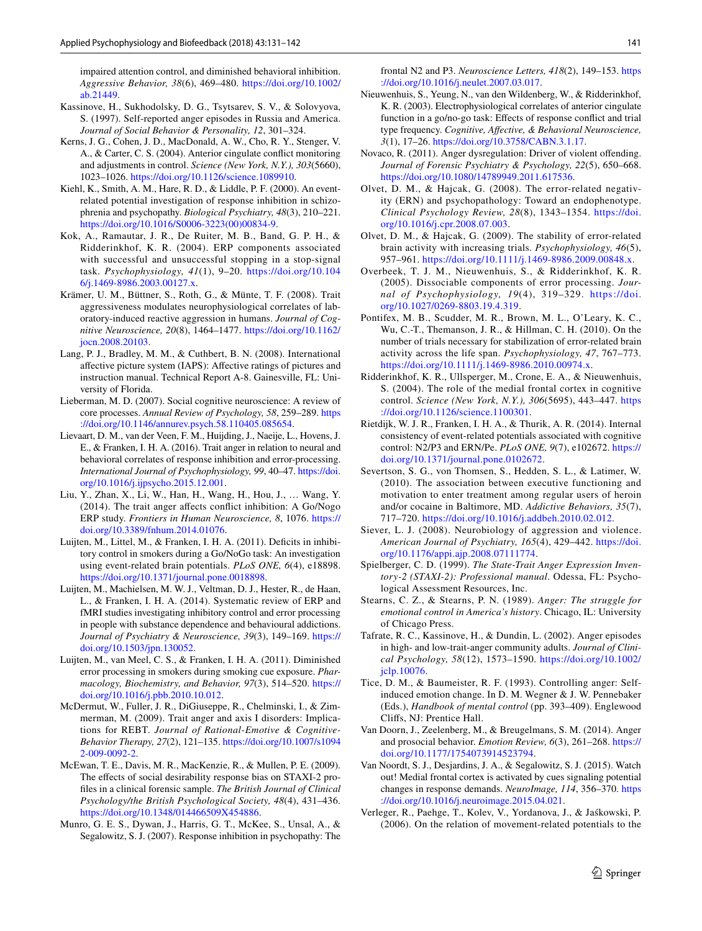impaired attention control, and diminished behavioral inhibition. *Aggressive Behavior, 38*(6), 469–480. [https://doi.org/10.1002/](https://doi.org/10.1002/ab.21449) [ab.21449.](https://doi.org/10.1002/ab.21449)

- <span id="page-10-1"></span>Kassinove, H., Sukhodolsky, D. G., Tsytsarev, S. V., & Solovyova, S. (1997). Self-reported anger episodes in Russia and America. *Journal of Social Behavior & Personality, 12*, 301–324.
- <span id="page-10-25"></span>Kerns, J. G., Cohen, J. D., MacDonald, A. W., Cho, R. Y., Stenger, V. A., & Carter, C. S. (2004). Anterior cingulate conflict monitoring and adjustments in control. *Science (New York, N.Y.), 303*(5660), 1023–1026. [https://doi.org/10.1126/science.1089910.](https://doi.org/10.1126/science.1089910)
- <span id="page-10-27"></span>Kiehl, K., Smith, A. M., Hare, R. D., & Liddle, P. F. (2000). An eventrelated potential investigation of response inhibition in schizophrenia and psychopathy. *Biological Psychiatry, 48*(3), 210–221. [https://doi.org/10.1016/S0006-3223\(00\)00834-9](https://doi.org/10.1016/S0006-3223(00)00834-9).
- <span id="page-10-13"></span>Kok, A., Ramautar, J. R., De Ruiter, M. B., Band, G. P. H., & Ridderinkhof, K. R. (2004). ERP components associated with successful and unsuccessful stopping in a stop-signal task. *Psychophysiology, 41*(1), 9–20. [https://doi.org/10.104](https://doi.org/10.1046/j.1469-8986.2003.00127.x) [6/j.1469-8986.2003.00127.x.](https://doi.org/10.1046/j.1469-8986.2003.00127.x)
- <span id="page-10-8"></span>Krämer, U. M., Büttner, S., Roth, G., & Münte, T. F. (2008). Trait aggressiveness modulates neurophysiological correlates of laboratory-induced reactive aggression in humans. *Journal of Cognitive Neuroscience, 20*(8), 1464–1477. [https://doi.org/10.1162/](https://doi.org/10.1162/jocn.2008.20103) [jocn.2008.20103.](https://doi.org/10.1162/jocn.2008.20103)
- <span id="page-10-20"></span>Lang, P. J., Bradley, M. M., & Cuthbert, B. N. (2008). International affective picture system (IAPS): Affective ratings of pictures and instruction manual. Technical Report A-8. Gainesville, FL: University of Florida.
- <span id="page-10-10"></span>Lieberman, M. D. (2007). Social cognitive neuroscience: A review of core processes. *Annual Review of Psychology, 58*, 259–289. [https](https://doi.org/10.1146/annurev.psych.58.110405.085654) [://doi.org/10.1146/annurev.psych.58.110405.085654.](https://doi.org/10.1146/annurev.psych.58.110405.085654)
- Lievaart, D. M., van der Veen, F. M., Huijding, J., Naeije, L., Hovens, J. E., & Franken, I. H. A. (2016). Trait anger in relation to neural and behavioral correlates of response inhibition and error-processing. *International Journal of Psychophysiology, 99*, 40–47. [https://doi.](https://doi.org/10.1016/j.ijpsycho.2015.12.001) [org/10.1016/j.ijpsycho.2015.12.001](https://doi.org/10.1016/j.ijpsycho.2015.12.001).
- <span id="page-10-11"></span>Liu, Y., Zhan, X., Li, W., Han, H., Wang, H., Hou, J., … Wang, Y. (2014). The trait anger affects conflict inhibition: A Go/Nogo ERP study. *Frontiers in Human Neuroscience, 8*, 1076. [https://](https://doi.org/10.3389/fnhum.2014.01076) [doi.org/10.3389/fnhum.2014.01076.](https://doi.org/10.3389/fnhum.2014.01076)
- <span id="page-10-19"></span>Luijten, M., Littel, M., & Franken, I. H. A. (2011). Deficits in inhibitory control in smokers during a Go/NoGo task: An investigation using event-related brain potentials. *PLoS ONE, 6*(4), e18898. [https://doi.org/10.1371/journal.pone.0018898.](https://doi.org/10.1371/journal.pone.0018898)
- <span id="page-10-16"></span>Luijten, M., Machielsen, M. W. J., Veltman, D. J., Hester, R., de Haan, L., & Franken, I. H. A. (2014). Systematic review of ERP and fMRI studies investigating inhibitory control and error processing in people with substance dependence and behavioural addictions. *Journal of Psychiatry & Neuroscience, 39*(3), 149–169. [https://](https://doi.org/10.1503/jpn.130052) [doi.org/10.1503/jpn.130052](https://doi.org/10.1503/jpn.130052).
- <span id="page-10-22"></span>Luijten, M., van Meel, C. S., & Franken, I. H. A. (2011). Diminished error processing in smokers during smoking cue exposure. *Pharmacology, Biochemistry, and Behavior, 97*(3), 514–520. [https://](https://doi.org/10.1016/j.pbb.2010.10.012) [doi.org/10.1016/j.pbb.2010.10.012.](https://doi.org/10.1016/j.pbb.2010.10.012)
- <span id="page-10-5"></span>McDermut, W., Fuller, J. R., DiGiuseppe, R., Chelminski, I., & Zimmerman, M. (2009). Trait anger and axis I disorders: Implications for REBT. *Journal of Rational-Emotive & Cognitive-Behavior Therapy, 27*(2), 121–135. [https://doi.org/10.1007/s1094](https://doi.org/10.1007/s10942-009-0092-2) [2-009-0092-2](https://doi.org/10.1007/s10942-009-0092-2).
- <span id="page-10-29"></span>McEwan, T. E., Davis, M. R., MacKenzie, R., & Mullen, P. E. (2009). The effects of social desirability response bias on STAXI-2 profiles in a clinical forensic sample. *The British Journal of Clinical Psychology/the British Psychological Society, 48*(4), 431–436. [https://doi.org/10.1348/014466509X454886.](https://doi.org/10.1348/014466509X454886)
- <span id="page-10-26"></span>Munro, G. E. S., Dywan, J., Harris, G. T., McKee, S., Unsal, A., & Segalowitz, S. J. (2007). Response inhibition in psychopathy: The

frontal N2 and P3. *Neuroscience Letters, 418*(2), 149–153. [https](https://doi.org/10.1016/j.neulet.2007.03.017) [://doi.org/10.1016/j.neulet.2007.03.017](https://doi.org/10.1016/j.neulet.2007.03.017).

- <span id="page-10-12"></span>Nieuwenhuis, S., Yeung, N., van den Wildenberg, W., & Ridderinkhof, K. R. (2003). Electrophysiological correlates of anterior cingulate function in a go/no-go task: Effects of response conflict and trial type frequency. *Cognitive, Affective, & Behavioral Neuroscience, 3*(1), 17–26. [https://doi.org/10.3758/CABN.3.1.17.](https://doi.org/10.3758/CABN.3.1.17)
- <span id="page-10-2"></span>Novaco, R. (2011). Anger dysregulation: Driver of violent offending. *Journal of Forensic Psychiatry & Psychology, 22*(5), 650–668. [https://doi.org/10.1080/14789949.2011.617536.](https://doi.org/10.1080/14789949.2011.617536)
- <span id="page-10-18"></span>Olvet, D. M., & Hajcak, G. (2008). The error-related negativity (ERN) and psychopathology: Toward an endophenotype. *Clinical Psychology Review, 28*(8), 1343–1354. [https://doi.](https://doi.org/10.1016/j.cpr.2008.07.003) [org/10.1016/j.cpr.2008.07.003.](https://doi.org/10.1016/j.cpr.2008.07.003)
- <span id="page-10-23"></span>Olvet, D. M., & Hajcak, G. (2009). The stability of error-related brain activity with increasing trials. *Psychophysiology, 46*(5), 957–961. [https://doi.org/10.1111/j.1469-8986.2009.00848.x.](https://doi.org/10.1111/j.1469-8986.2009.00848.x)
- <span id="page-10-17"></span>Overbeek, T. J. M., Nieuwenhuis, S., & Ridderinkhof, K. R. (2005). Dissociable components of error processing. *Journal of Psychophysiology, 19*(4), 319–329. [https://doi.](https://doi.org/10.1027/0269-8803.19.4.319) [org/10.1027/0269-8803.19.4.319](https://doi.org/10.1027/0269-8803.19.4.319).
- <span id="page-10-24"></span>Pontifex, M. B., Scudder, M. R., Brown, M. L., O'Leary, K. C., Wu, C.-T., Themanson, J. R., & Hillman, C. H. (2010). On the number of trials necessary for stabilization of error-related brain activity across the life span. *Psychophysiology, 47*, 767–773. <https://doi.org/10.1111/j.1469-8986.2010.00974.x>.
- <span id="page-10-15"></span>Ridderinkhof, K. R., Ullsperger, M., Crone, E. A., & Nieuwenhuis, S. (2004). The role of the medial frontal cortex in cognitive control. *Science (New York, N.Y.), 306*(5695), 443–447. [https](https://doi.org/10.1126/science.1100301) [://doi.org/10.1126/science.1100301](https://doi.org/10.1126/science.1100301).
- <span id="page-10-21"></span>Rietdijk, W. J. R., Franken, I. H. A., & Thurik, A. R. (2014). Internal consistency of event-related potentials associated with cognitive control: N2/P3 and ERN/Pe. *PLoS ONE, 9*(7), e102672. [https://](https://doi.org/10.1371/journal.pone.0102672) [doi.org/10.1371/journal.pone.0102672](https://doi.org/10.1371/journal.pone.0102672).
- <span id="page-10-30"></span>Severtson, S. G., von Thomsen, S., Hedden, S. L., & Latimer, W. (2010). The association between executive functioning and motivation to enter treatment among regular users of heroin and/or cocaine in Baltimore, MD. *Addictive Behaviors, 35*(7), 717–720.<https://doi.org/10.1016/j.addbeh.2010.02.012>.
- <span id="page-10-9"></span>Siever, L. J. (2008). Neurobiology of aggression and violence. *American Journal of Psychiatry, 165*(4), 429–442. [https://doi.](https://doi.org/10.1176/appi.ajp.2008.07111774) [org/10.1176/appi.ajp.2008.07111774.](https://doi.org/10.1176/appi.ajp.2008.07111774)
- <span id="page-10-3"></span>Spielberger, C. D. (1999). *The State-Trait Anger Expression Inventory-2 (STAXI-2): Professional manual*. Odessa, FL: Psychological Assessment Resources, Inc.
- <span id="page-10-6"></span>Stearns, C. Z., & Stearns, P. N. (1989). *Anger: The struggle for emotional control in America's history*. Chicago, IL: University of Chicago Press.
- <span id="page-10-4"></span>Tafrate, R. C., Kassinove, H., & Dundin, L. (2002). Anger episodes in high- and low-trait-anger community adults. *Journal of Clinical Psychology, 58*(12), 1573–1590. [https://doi.org/10.1002/](https://doi.org/10.1002/jclp.10076) [jclp.10076.](https://doi.org/10.1002/jclp.10076)
- <span id="page-10-7"></span>Tice, D. M., & Baumeister, R. F. (1993). Controlling anger: Selfinduced emotion change. In D. M. Wegner & J. W. Pennebaker (Eds.), *Handbook of mental control* (pp. 393–409). Englewood Cliffs, NJ: Prentice Hall.
- <span id="page-10-0"></span>Van Doorn, J., Zeelenberg, M., & Breugelmans, S. M. (2014). Anger and prosocial behavior. *Emotion Review, 6*(3), 261–268. [https://](https://doi.org/10.1177/1754073914523794) [doi.org/10.1177/1754073914523794.](https://doi.org/10.1177/1754073914523794)
- <span id="page-10-28"></span>Van Noordt, S. J., Desjardins, J. A., & Segalowitz, S. J. (2015). Watch out! Medial frontal cortex is activated by cues signaling potential changes in response demands. *NeuroImage, 114*, 356–370. [https](https://doi.org/10.1016/j.neuroimage.2015.04.021) [://doi.org/10.1016/j.neuroimage.2015.04.021.](https://doi.org/10.1016/j.neuroimage.2015.04.021)
- <span id="page-10-14"></span>Verleger, R., Paehge, T., Kolev, V., Yordanova, J., & Jaśkowski, P. (2006). On the relation of movement-related potentials to the